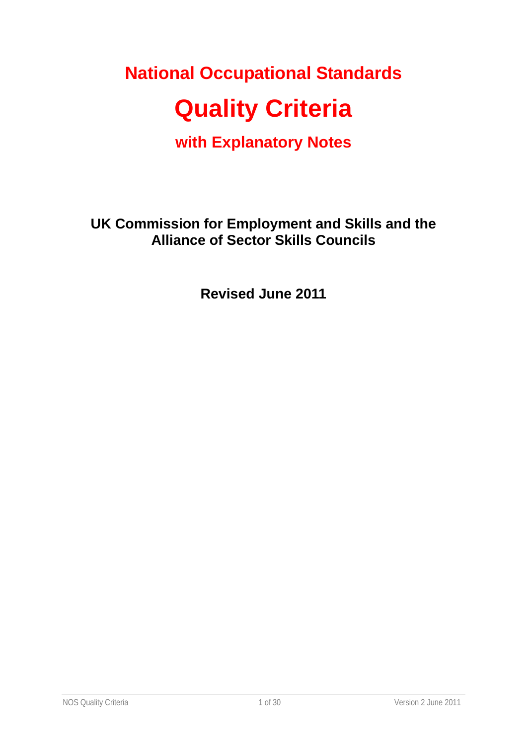# **National Occupational Standards**

# **Quality Criteria**

**with Explanatory Notes** 

**UK Commission for Employment and Skills and the Alliance of Sector Skills Councils** 

**Revised June 2011**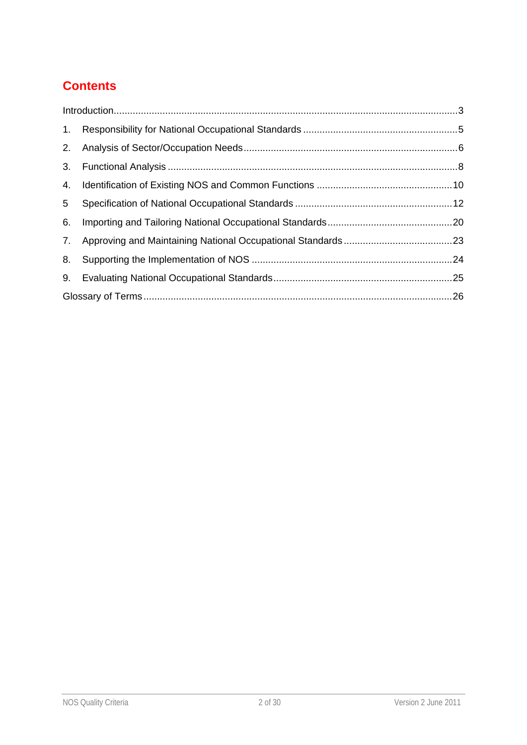# **Contents**

| 1. |  |  |  |
|----|--|--|--|
|    |  |  |  |
| 3. |  |  |  |
| 4. |  |  |  |
| 5  |  |  |  |
| 6. |  |  |  |
| 7. |  |  |  |
| 8. |  |  |  |
| 9. |  |  |  |
|    |  |  |  |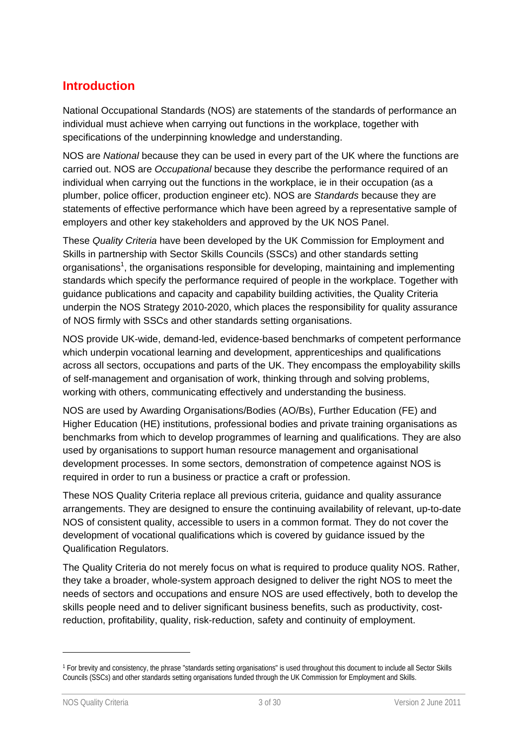## **Introduction**

National Occupational Standards (NOS) are statements of the standards of performance an individual must achieve when carrying out functions in the workplace, together with specifications of the underpinning knowledge and understanding.

NOS are *National* because they can be used in every part of the UK where the functions are carried out. NOS are *Occupational* because they describe the performance required of an individual when carrying out the functions in the workplace, ie in their occupation (as a plumber, police officer, production engineer etc). NOS are *Standards* because they are statements of effective performance which have been agreed by a representative sample of employers and other key stakeholders and approved by the UK NOS Panel.

These *Quality Criteria* have been developed by the UK Commission for Employment and Skills in partnership with Sector Skills Councils (SSCs) and other standards setting organisations<sup>1</sup>, the organisations responsible for developing, maintaining and implementing standards which specify the performance required of people in the workplace. Together with guidance publications and capacity and capability building activities, the Quality Criteria underpin the NOS Strategy 2010-2020, which places the responsibility for quality assurance of NOS firmly with SSCs and other standards setting organisations.

NOS provide UK-wide, demand-led, evidence-based benchmarks of competent performance which underpin vocational learning and development, apprenticeships and qualifications across all sectors, occupations and parts of the UK. They encompass the employability skills of self-management and organisation of work, thinking through and solving problems, working with others, communicating effectively and understanding the business.

NOS are used by Awarding Organisations/Bodies (AO/Bs), Further Education (FE) and Higher Education (HE) institutions, professional bodies and private training organisations as benchmarks from which to develop programmes of learning and qualifications. They are also used by organisations to support human resource management and organisational development processes. In some sectors, demonstration of competence against NOS is required in order to run a business or practice a craft or profession.

These NOS Quality Criteria replace all previous criteria, guidance and quality assurance arrangements. They are designed to ensure the continuing availability of relevant, up-to-date NOS of consistent quality, accessible to users in a common format. They do not cover the development of vocational qualifications which is covered by guidance issued by the Qualification Regulators.

The Quality Criteria do not merely focus on what is required to produce quality NOS. Rather, they take a broader, whole-system approach designed to deliver the right NOS to meet the needs of sectors and occupations and ensure NOS are used effectively, both to develop the skills people need and to deliver significant business benefits, such as productivity, costreduction, profitability, quality, risk-reduction, safety and continuity of employment.

-

<sup>1</sup> For brevity and consistency, the phrase "standards setting organisations" is used throughout this document to include all Sector Skills Councils (SSCs) and other standards setting organisations funded through the UK Commission for Employment and Skills.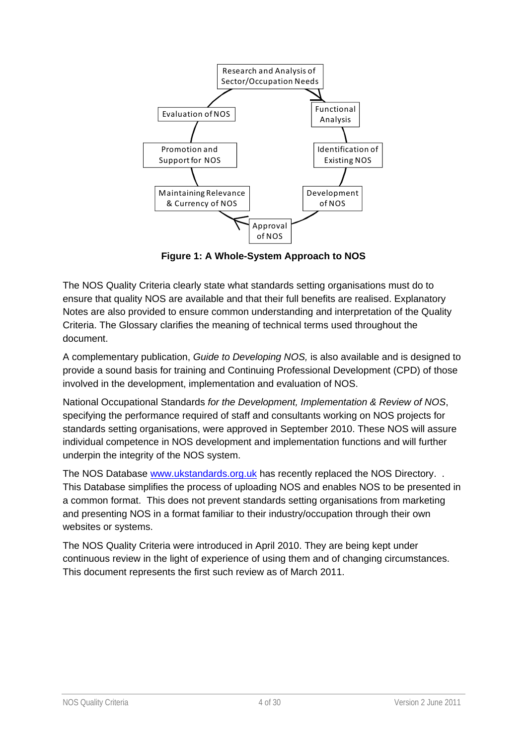

**Figure 1: A Whole-System Approach to NOS** 

The NOS Quality Criteria clearly state what standards setting organisations must do to ensure that quality NOS are available and that their full benefits are realised. Explanatory Notes are also provided to ensure common understanding and interpretation of the Quality Criteria. The Glossary clarifies the meaning of technical terms used throughout the document.

A complementary publication, *Guide to Developing NOS,* is also available and is designed to provide a sound basis for training and Continuing Professional Development (CPD) of those involved in the development, implementation and evaluation of NOS.

National Occupational Standards *for the Development, Implementation & Review of NOS*, specifying the performance required of staff and consultants working on NOS projects for standards setting organisations, were approved in September 2010. These NOS will assure individual competence in NOS development and implementation functions and will further underpin the integrity of the NOS system.

The NOS Database www.ukstandards.org.uk has recently replaced the NOS Directory. . This Database simplifies the process of uploading NOS and enables NOS to be presented in a common format. This does not prevent standards setting organisations from marketing and presenting NOS in a format familiar to their industry/occupation through their own websites or systems.

The NOS Quality Criteria were introduced in April 2010. They are being kept under continuous review in the light of experience of using them and of changing circumstances. This document represents the first such review as of March 2011.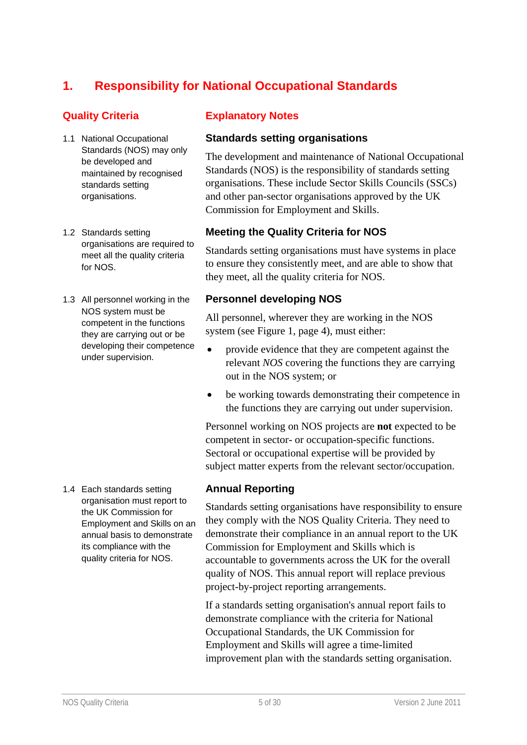# **1. Responsibility for National Occupational Standards**

- 1.1 National Occupational Standards (NOS) may only be developed and maintained by recognised standards setting organisations.
- 1.2 Standards setting organisations are required to meet all the quality criteria for NOS.
- 1.3 All personnel working in the NOS system must be competent in the functions they are carrying out or be developing their competence under supervision.

1.4 Each standards setting organisation must report to the UK Commission for Employment and Skills on an annual basis to demonstrate its compliance with the quality criteria for NOS.

#### **Quality Criteria Explanatory Notes**

#### **Standards setting organisations**

The development and maintenance of National Occupational Standards (NOS) is the responsibility of standards setting organisations. These include Sector Skills Councils (SSCs) and other pan-sector organisations approved by the UK Commission for Employment and Skills.

#### **Meeting the Quality Criteria for NOS**

Standards setting organisations must have systems in place to ensure they consistently meet, and are able to show that they meet, all the quality criteria for NOS.

#### **Personnel developing NOS**

All personnel, wherever they are working in the NOS system (see Figure 1, page 4), must either:

- provide evidence that they are competent against the relevant *NOS* covering the functions they are carrying out in the NOS system; or
- be working towards demonstrating their competence in the functions they are carrying out under supervision.

Personnel working on NOS projects are **not** expected to be competent in sector- or occupation-specific functions. Sectoral or occupational expertise will be provided by subject matter experts from the relevant sector/occupation.

#### **Annual Reporting**

Standards setting organisations have responsibility to ensure they comply with the NOS Quality Criteria. They need to demonstrate their compliance in an annual report to the UK Commission for Employment and Skills which is accountable to governments across the UK for the overall quality of NOS. This annual report will replace previous project-by-project reporting arrangements.

If a standards setting organisation's annual report fails to demonstrate compliance with the criteria for National Occupational Standards, the UK Commission for Employment and Skills will agree a time-limited improvement plan with the standards setting organisation.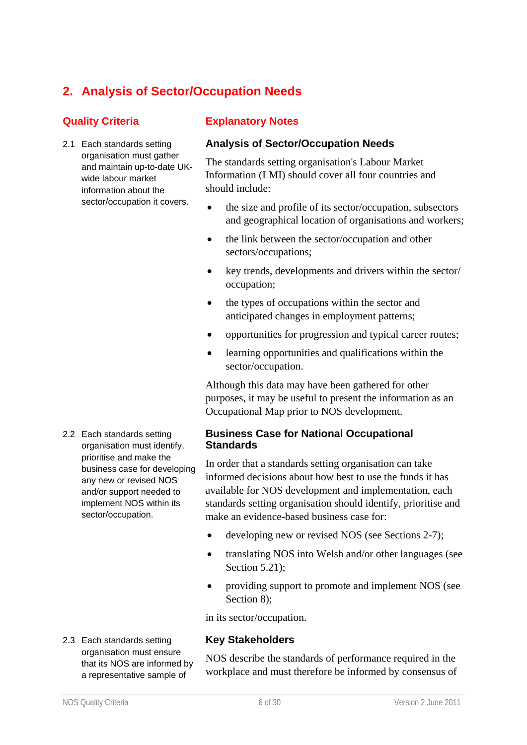# **2. Analysis of Sector/Occupation Needs**

2.1 Each standards setting organisation must gather and maintain up-to-date UKwide labour market information about the sector/occupation it covers.

### **Quality Criteria Explanatory Notes**

#### **Analysis of Sector/Occupation Needs**

The standards setting organisation's Labour Market Information (LMI) should cover all four countries and should include:

- the size and profile of its sector/occupation, subsectors and geographical location of organisations and workers;
- the link between the sector/occupation and other sectors/occupations;
- key trends, developments and drivers within the sector/ occupation;
- the types of occupations within the sector and anticipated changes in employment patterns;
- opportunities for progression and typical career routes;
- learning opportunities and qualifications within the sector/occupation.

Although this data may have been gathered for other purposes, it may be useful to present the information as an Occupational Map prior to NOS development.

#### **Business Case for National Occupational Standards**

In order that a standards setting organisation can take informed decisions about how best to use the funds it has available for NOS development and implementation, each standards setting organisation should identify, prioritise and make an evidence-based business case for:

- developing new or revised NOS (see Sections 2-7);
- translating NOS into Welsh and/or other languages (see Section 5.21);
- providing support to promote and implement NOS (see Section 8):

in its sector/occupation.

#### **Key Stakeholders**

NOS describe the standards of performance required in the workplace and must therefore be informed by consensus of

2.2 Each standards setting organisation must identify, prioritise and make the business case for developing any new or revised NOS and/or support needed to implement NOS within its sector/occupation.

2.3 Each standards setting organisation must ensure that its NOS are informed by a representative sample of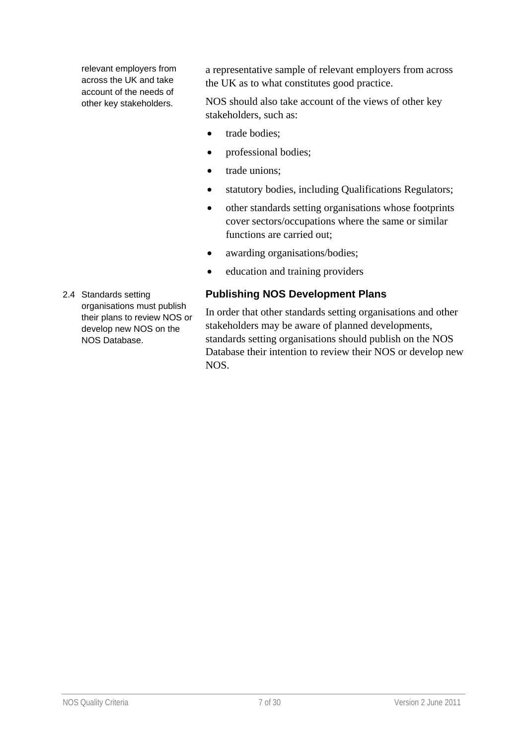relevant employers from across the UK and take account of the needs of other key stakeholders.

a representative sample of relevant employers from across the UK as to what constitutes good practice.

NOS should also take account of the views of other key stakeholders, such as:

- trade bodies:
- professional bodies;
- trade unions;
- statutory bodies, including Qualifications Regulators;
- other standards setting organisations whose footprints cover sectors/occupations where the same or similar functions are carried out;
- awarding organisations/bodies;
- education and training providers

### **Publishing NOS Development Plans**

In order that other standards setting organisations and other stakeholders may be aware of planned developments, standards setting organisations should publish on the NOS Database their intention to review their NOS or develop new NOS.

2.4 Standards setting organisations must publish their plans to review NOS or develop new NOS on the NOS Database.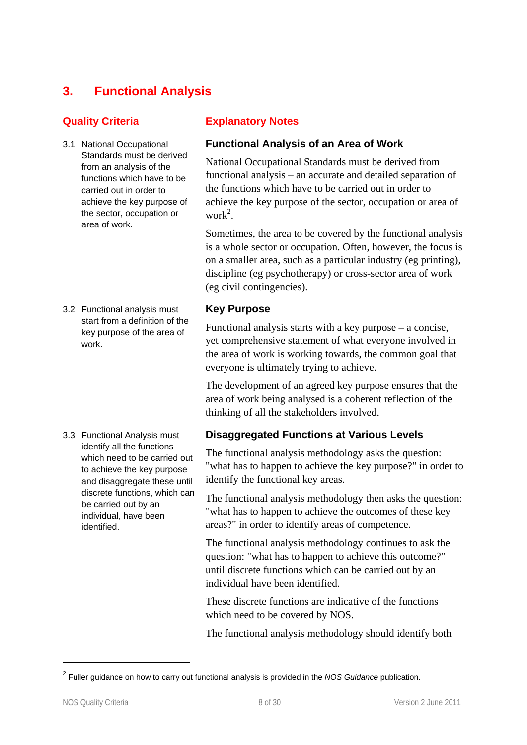# **3. Functional Analysis**

- 3.1 National Occupational Standards must be derived from an analysis of the functions which have to be carried out in order to achieve the key purpose of the sector, occupation or area of work.
- 3.2 Functional analysis must start from a definition of the key purpose of the area of work.

3.3 Functional Analysis must identify all the functions which need to be carried out to achieve the key purpose and disaggregate these until discrete functions, which can be carried out by an individual, have been identified.

#### **Quality Criteria Explanatory Notes**

#### **Functional Analysis of an Area of Work**

National Occupational Standards must be derived from functional analysis – an accurate and detailed separation of the functions which have to be carried out in order to achieve the key purpose of the sector, occupation or area of work<sup>2</sup>.

Sometimes, the area to be covered by the functional analysis is a whole sector or occupation. Often, however, the focus is on a smaller area, such as a particular industry (eg printing), discipline (eg psychotherapy) or cross-sector area of work (eg civil contingencies).

#### **Key Purpose**

Functional analysis starts with a key purpose – a concise, yet comprehensive statement of what everyone involved in the area of work is working towards, the common goal that everyone is ultimately trying to achieve.

The development of an agreed key purpose ensures that the area of work being analysed is a coherent reflection of the thinking of all the stakeholders involved.

#### **Disaggregated Functions at Various Levels**

The functional analysis methodology asks the question: "what has to happen to achieve the key purpose?" in order to identify the functional key areas.

The functional analysis methodology then asks the question: "what has to happen to achieve the outcomes of these key areas?" in order to identify areas of competence.

The functional analysis methodology continues to ask the question: "what has to happen to achieve this outcome?" until discrete functions which can be carried out by an individual have been identified.

These discrete functions are indicative of the functions which need to be covered by NOS.

The functional analysis methodology should identify both

-

<sup>2</sup> Fuller guidance on how to carry out functional analysis is provided in the *NOS Guidance* publication.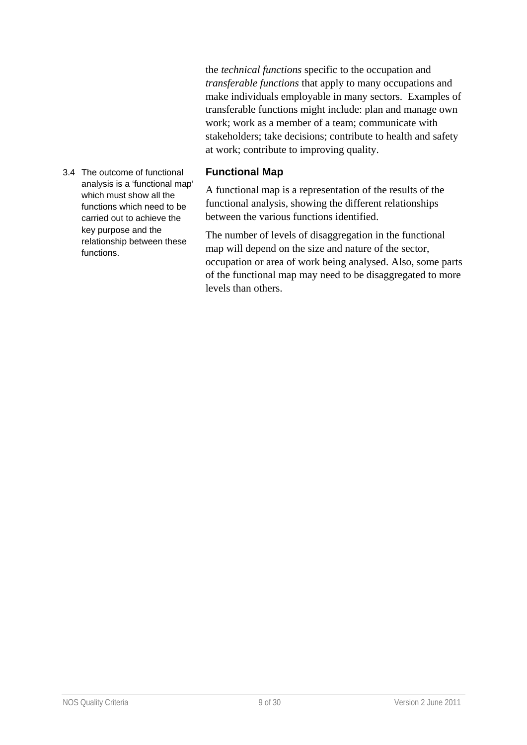the *technical functions* specific to the occupation and *transferable functions* that apply to many occupations and make individuals employable in many sectors. Examples of transferable functions might include: plan and manage own work; work as a member of a team; communicate with stakeholders; take decisions; contribute to health and safety at work; contribute to improving quality.

#### **Functional Map**

A functional map is a representation of the results of the functional analysis, showing the different relationships between the various functions identified.

The number of levels of disaggregation in the functional map will depend on the size and nature of the sector, occupation or area of work being analysed. Also, some parts of the functional map may need to be disaggregated to more levels than others.

3.4 The outcome of functional analysis is a 'functional map' which must show all the functions which need to be carried out to achieve the key purpose and the relationship between these functions.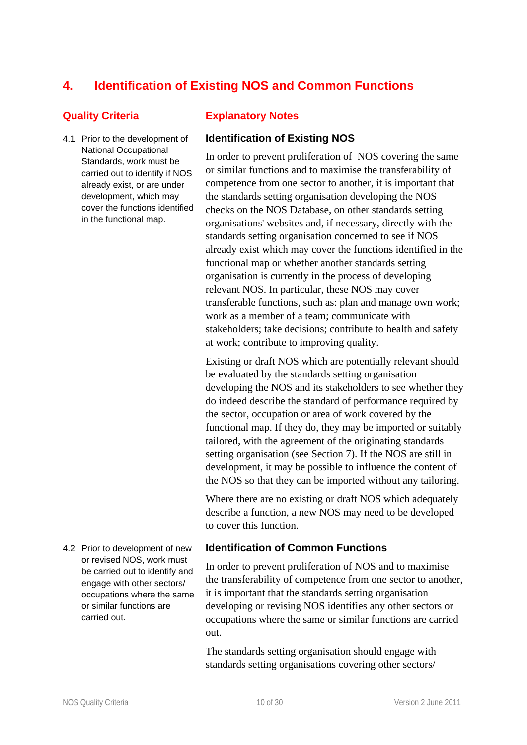# **4. Identification of Existing NOS and Common Functions**

4.1 Prior to the development of National Occupational Standards, work must be carried out to identify if NOS already exist, or are under development, which may cover the functions identified in the functional map.

#### **Quality Criteria Explanatory Notes**

#### **Identification of Existing NOS**

In order to prevent proliferation of NOS covering the same or similar functions and to maximise the transferability of competence from one sector to another, it is important that the standards setting organisation developing the NOS checks on the NOS Database, on other standards setting organisations' websites and, if necessary, directly with the standards setting organisation concerned to see if NOS already exist which may cover the functions identified in the functional map or whether another standards setting organisation is currently in the process of developing relevant NOS. In particular, these NOS may cover transferable functions, such as: plan and manage own work; work as a member of a team; communicate with stakeholders; take decisions; contribute to health and safety at work; contribute to improving quality.

Existing or draft NOS which are potentially relevant should be evaluated by the standards setting organisation developing the NOS and its stakeholders to see whether they do indeed describe the standard of performance required by the sector, occupation or area of work covered by the functional map. If they do, they may be imported or suitably tailored, with the agreement of the originating standards setting organisation (see Section 7). If the NOS are still in development, it may be possible to influence the content of the NOS so that they can be imported without any tailoring.

Where there are no existing or draft NOS which adequately describe a function, a new NOS may need to be developed to cover this function.

#### **Identification of Common Functions**

In order to prevent proliferation of NOS and to maximise the transferability of competence from one sector to another, it is important that the standards setting organisation developing or revising NOS identifies any other sectors or occupations where the same or similar functions are carried out.

The standards setting organisation should engage with standards setting organisations covering other sectors/

4.2 Prior to development of new or revised NOS, work must be carried out to identify and engage with other sectors/ occupations where the same or similar functions are carried out.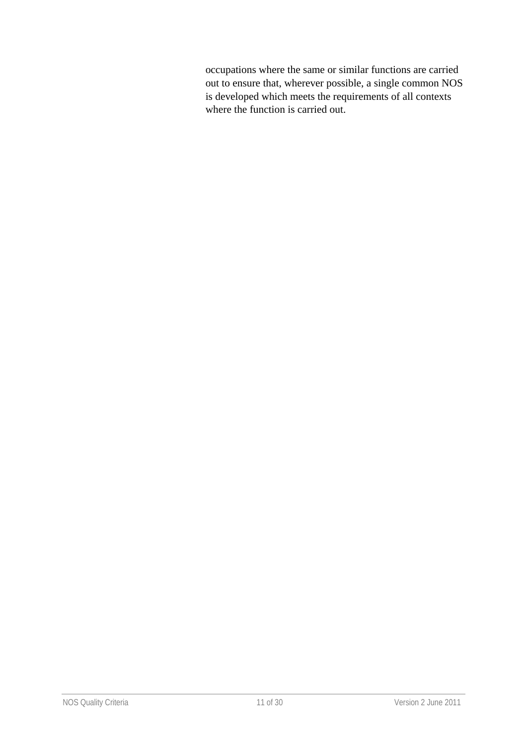occupations where the same or similar functions are carried out to ensure that, wherever possible, a single common NOS is developed which meets the requirements of all contexts where the function is carried out.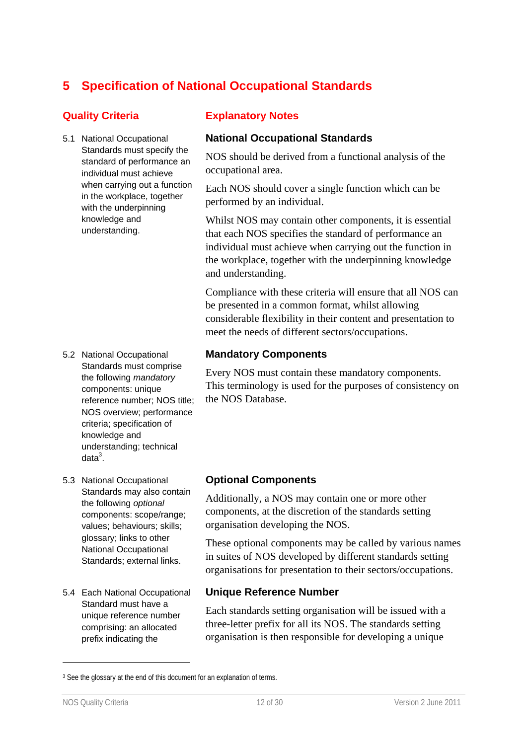# **5 Specification of National Occupational Standards**

5.1 National Occupational Standards must specify the standard of performance an individual must achieve when carrying out a function in the workplace, together with the underpinning knowledge and understanding.

- 5.2 National Occupational Standards must comprise the following *mandatory* components: unique reference number; NOS title; NOS overview; performance criteria; specification of knowledge and understanding; technical data $^3$ .
- 5.3 National Occupational Standards may also contain the following *optional* components: scope/range; values; behaviours; skills; glossary; links to other National Occupational Standards; external links.
- 5.4 Each National Occupational Standard must have a unique reference number comprising: an allocated prefix indicating the

### **Quality Criteria Explanatory Notes**

### **National Occupational Standards**

NOS should be derived from a functional analysis of the occupational area.

Each NOS should cover a single function which can be performed by an individual.

Whilst NOS may contain other components, it is essential that each NOS specifies the standard of performance an individual must achieve when carrying out the function in the workplace, together with the underpinning knowledge and understanding.

Compliance with these criteria will ensure that all NOS can be presented in a common format, whilst allowing considerable flexibility in their content and presentation to meet the needs of different sectors/occupations.

#### **Mandatory Components**

Every NOS must contain these mandatory components. This terminology is used for the purposes of consistency on the NOS Database.

#### **Optional Components**

Additionally, a NOS may contain one or more other components, at the discretion of the standards setting organisation developing the NOS.

These optional components may be called by various names in suites of NOS developed by different standards setting organisations for presentation to their sectors/occupations.

#### **Unique Reference Number**

Each standards setting organisation will be issued with a three-letter prefix for all its NOS. The standards setting organisation is then responsible for developing a unique

-

<sup>&</sup>lt;sup>3</sup> See the glossary at the end of this document for an explanation of terms.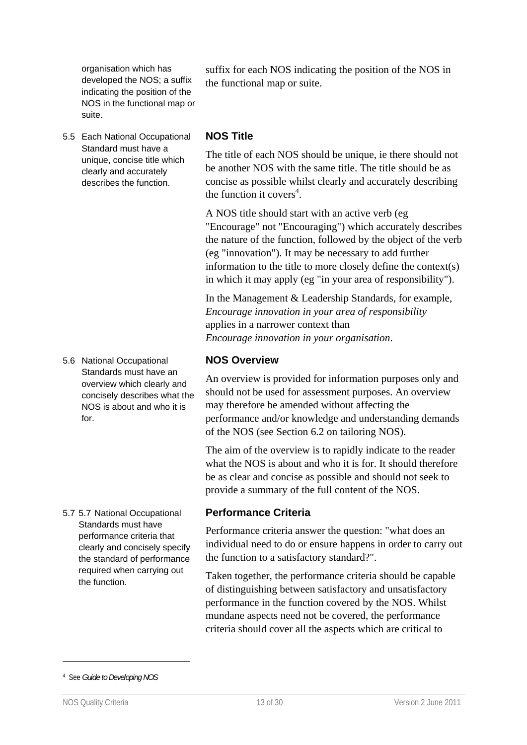organisation which has developed the NOS; a suffix indicating the position of the NOS in the functional map or suite.

5.5 Each National Occupational Standard must have a unique, concise title which clearly and accurately describes the function.

5.6 National Occupational Standards must have an overview which clearly and concisely describes what the NOS is about and who it is for.

5.7 5.7 National Occupational Standards must have performance criteria that clearly and concisely specify the standard of performance required when carrying out the function.

suffix for each NOS indicating the position of the NOS in the functional map or suite.

#### **NOS Title**

The title of each NOS should be unique, ie there should not be another NOS with the same title. The title should be as concise as possible whilst clearly and accurately describing the function it covers<sup>4</sup>.

A NOS title should start with an active verb (eg "Encourage" not "Encouraging") which accurately describes the nature of the function, followed by the object of the verb (eg "innovation"). It may be necessary to add further information to the title to more closely define the context(s) in which it may apply (eg "in your area of responsibility").

In the Management & Leadership Standards, for example, *Encourage innovation in your area of responsibility* applies in a narrower context than *Encourage innovation in your organisation*.

#### **NOS Overview**

An overview is provided for information purposes only and should not be used for assessment purposes. An overview may therefore be amended without affecting the performance and/or knowledge and understanding demands of the NOS (see Section 6.2 on tailoring NOS).

The aim of the overview is to rapidly indicate to the reader what the NOS is about and who it is for. It should therefore be as clear and concise as possible and should not seek to provide a summary of the full content of the NOS.

#### **Performance Criteria**

Performance criteria answer the question: "what does an individual need to do or ensure happens in order to carry out the function to a satisfactory standard?".

Taken together, the performance criteria should be capable of distinguishing between satisfactory and unsatisfactory performance in the function covered by the NOS. Whilst mundane aspects need not be covered, the performance criteria should cover all the aspects which are critical to

-

<sup>4</sup> See *Guide to Developing NOS*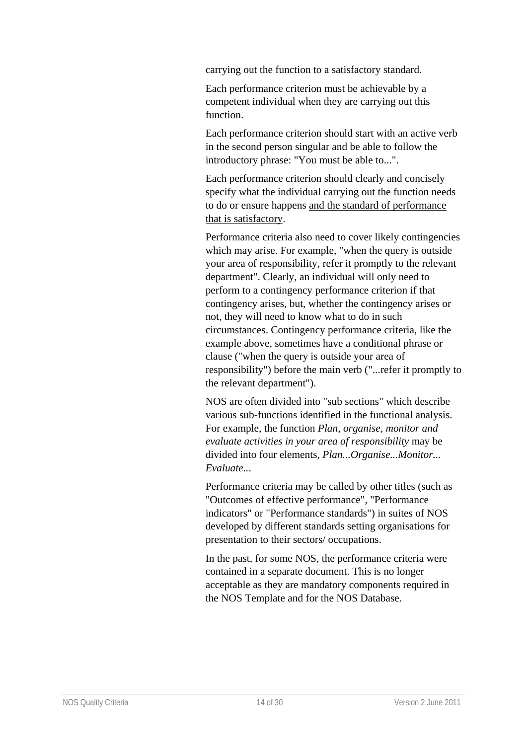carrying out the function to a satisfactory standard.

Each performance criterion must be achievable by a competent individual when they are carrying out this function.

Each performance criterion should start with an active verb in the second person singular and be able to follow the introductory phrase: "You must be able to...".

Each performance criterion should clearly and concisely specify what the individual carrying out the function needs to do or ensure happens and the standard of performance that is satisfactory.

Performance criteria also need to cover likely contingencies which may arise. For example, "when the query is outside your area of responsibility, refer it promptly to the relevant department". Clearly, an individual will only need to perform to a contingency performance criterion if that contingency arises, but, whether the contingency arises or not, they will need to know what to do in such circumstances. Contingency performance criteria, like the example above, sometimes have a conditional phrase or clause ("when the query is outside your area of responsibility") before the main verb ("...refer it promptly to the relevant department").

NOS are often divided into "sub sections" which describe various sub-functions identified in the functional analysis. For example, the function *Plan, organise, monitor and evaluate activities in your area of responsibility* may be divided into four elements, *Plan...Organise...Monitor... Evaluate..*.

Performance criteria may be called by other titles (such as "Outcomes of effective performance", "Performance indicators" or "Performance standards") in suites of NOS developed by different standards setting organisations for presentation to their sectors/ occupations.

In the past, for some NOS, the performance criteria were contained in a separate document. This is no longer acceptable as they are mandatory components required in the NOS Template and for the NOS Database.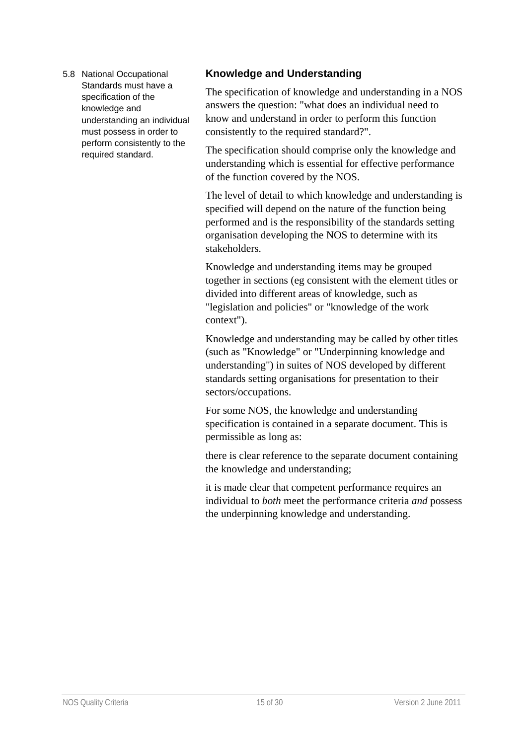5.8 National Occupational Standards must have a specification of the knowledge and understanding an individual must possess in order to perform consistently to the required standard.

### **Knowledge and Understanding**

The specification of knowledge and understanding in a NOS answers the question: "what does an individual need to know and understand in order to perform this function consistently to the required standard?".

The specification should comprise only the knowledge and understanding which is essential for effective performance of the function covered by the NOS.

The level of detail to which knowledge and understanding is specified will depend on the nature of the function being performed and is the responsibility of the standards setting organisation developing the NOS to determine with its stakeholders.

Knowledge and understanding items may be grouped together in sections (eg consistent with the element titles or divided into different areas of knowledge, such as "legislation and policies" or "knowledge of the work context").

Knowledge and understanding may be called by other titles (such as "Knowledge" or "Underpinning knowledge and understanding") in suites of NOS developed by different standards setting organisations for presentation to their sectors/occupations.

For some NOS, the knowledge and understanding specification is contained in a separate document. This is permissible as long as:

there is clear reference to the separate document containing the knowledge and understanding;

it is made clear that competent performance requires an individual to *both* meet the performance criteria *and* possess the underpinning knowledge and understanding.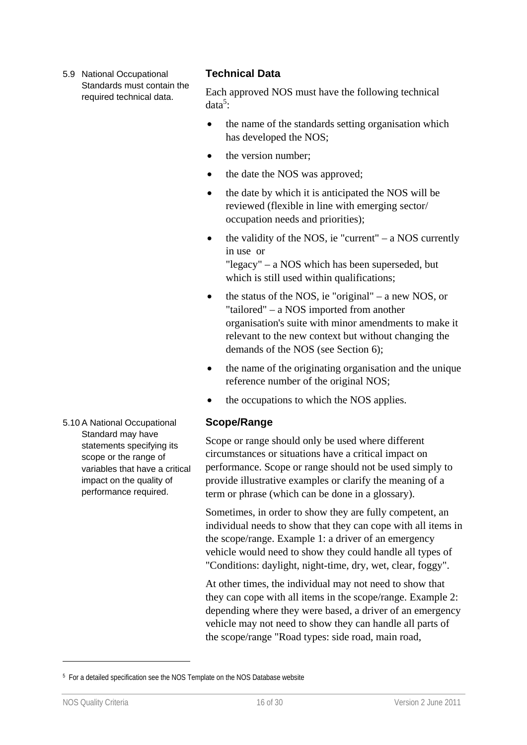5.9 National Occupational Standards must contain the required technical data.

#### **Technical Data**

Each approved NOS must have the following technical  $data<sup>5</sup>$ :

- the name of the standards setting organisation which has developed the NOS;
- the version number;
- the date the NOS was approved;
- the date by which it is anticipated the NOS will be reviewed (flexible in line with emerging sector/ occupation needs and priorities);
- $\bullet$  the validity of the NOS, ie "current" a NOS currently in use or "legacy" – a NOS which has been superseded, but which is still used within qualifications;
- $\bullet$  the status of the NOS, ie "original" a new NOS, or "tailored" – a NOS imported from another organisation's suite with minor amendments to make it relevant to the new context but without changing the demands of the NOS (see Section 6);
- the name of the originating organisation and the unique reference number of the original NOS;
- the occupations to which the NOS applies.

#### **Scope/Range**

Scope or range should only be used where different circumstances or situations have a critical impact on performance. Scope or range should not be used simply to provide illustrative examples or clarify the meaning of a term or phrase (which can be done in a glossary).

Sometimes, in order to show they are fully competent, an individual needs to show that they can cope with all items in the scope/range. Example 1: a driver of an emergency vehicle would need to show they could handle all types of "Conditions: daylight, night-time, dry, wet, clear, foggy".

At other times, the individual may not need to show that they can cope with all items in the scope/range. Example 2: depending where they were based, a driver of an emergency vehicle may not need to show they can handle all parts of the scope/range "Road types: side road, main road,

5.10 A National Occupational Standard may have statements specifying its scope or the range of variables that have a critical impact on the quality of performance required.

-

<sup>&</sup>lt;sup>5</sup> For a detailed specification see the NOS Template on the NOS Database website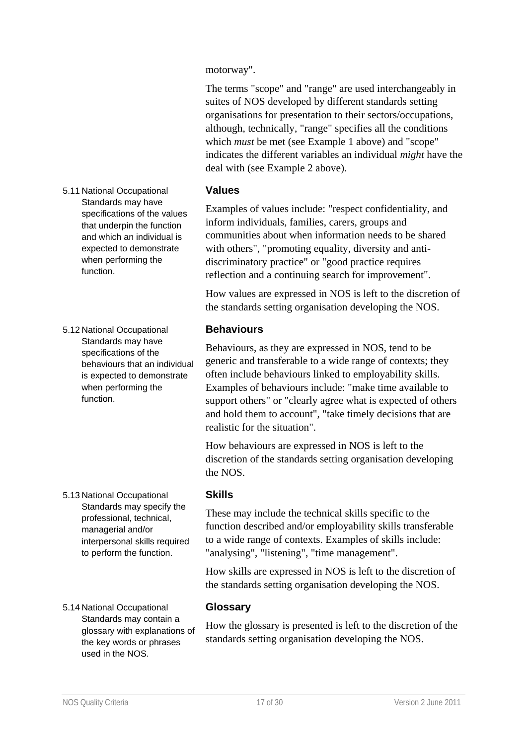motorway".

The terms "scope" and "range" are used interchangeably in suites of NOS developed by different standards setting organisations for presentation to their sectors/occupations, although, technically, "range" specifies all the conditions which *must* be met (see Example 1 above) and "scope" indicates the different variables an individual *might* have the deal with (see Example 2 above).

#### **Values**

Examples of values include: "respect confidentiality, and inform individuals, families, carers, groups and communities about when information needs to be shared with others", "promoting equality, diversity and antidiscriminatory practice" or "good practice requires reflection and a continuing search for improvement".

How values are expressed in NOS is left to the discretion of the standards setting organisation developing the NOS.

#### **Behaviours**

Behaviours, as they are expressed in NOS, tend to be generic and transferable to a wide range of contexts; they often include behaviours linked to employability skills. Examples of behaviours include: "make time available to support others" or "clearly agree what is expected of others and hold them to account", "take timely decisions that are realistic for the situation".

How behaviours are expressed in NOS is left to the discretion of the standards setting organisation developing the NOS.

#### **Skills**

These may include the technical skills specific to the function described and/or employability skills transferable to a wide range of contexts. Examples of skills include: "analysing", "listening", "time management".

How skills are expressed in NOS is left to the discretion of the standards setting organisation developing the NOS.

5.14 National Occupational Standards may contain a glossary with explanations of the key words or phrases

#### **Glossary**

How the glossary is presented is left to the discretion of the standards setting organisation developing the NOS.

5.11 National Occupational Standards may have specifications of the values that underpin the function and which an individual is expected to demonstrate when performing the function.

5.12 National Occupational Standards may have specifications of the behaviours that an individual is expected to demonstrate when performing the function.

5.13 National Occupational

Standards may specify the professional, technical, managerial and/or

interpersonal skills required to perform the function.

used in the NOS.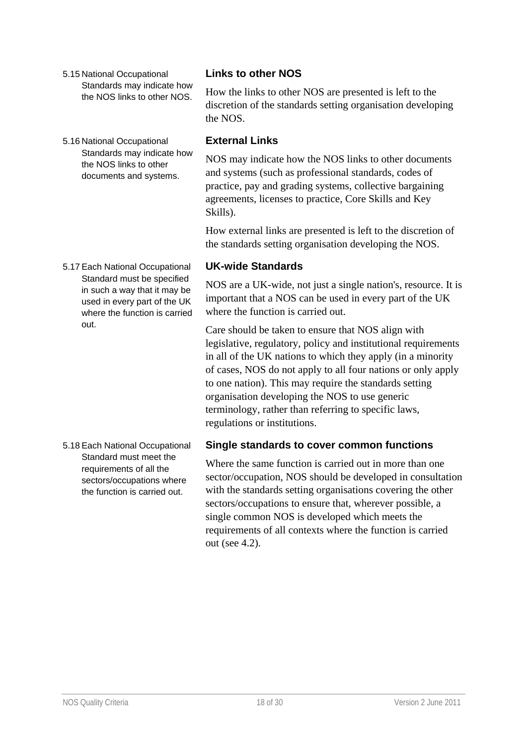- 5.15 National Occupational Standards may indicate how the NOS links to other NOS.
- 5.16 National Occupational Standards may indicate how the NOS links to other documents and systems.

#### 5.17 Each National Occupational Standard must be specified in such a way that it may be used in every part of the UK where the function is carried out.

5.18 Each National Occupational Standard must meet the requirements of all the sectors/occupations where the function is carried out.

### **Links to other NOS**

How the links to other NOS are presented is left to the discretion of the standards setting organisation developing the NOS.

#### **External Links**

NOS may indicate how the NOS links to other documents and systems (such as professional standards, codes of practice, pay and grading systems, collective bargaining agreements, licenses to practice, Core Skills and Key Skills).

How external links are presented is left to the discretion of the standards setting organisation developing the NOS.

#### **UK-wide Standards**

NOS are a UK-wide, not just a single nation's, resource. It is important that a NOS can be used in every part of the UK where the function is carried out.

Care should be taken to ensure that NOS align with legislative, regulatory, policy and institutional requirements in all of the UK nations to which they apply (in a minority of cases, NOS do not apply to all four nations or only apply to one nation). This may require the standards setting organisation developing the NOS to use generic terminology, rather than referring to specific laws, regulations or institutions.

#### **Single standards to cover common functions**

Where the same function is carried out in more than one sector/occupation, NOS should be developed in consultation with the standards setting organisations covering the other sectors/occupations to ensure that, wherever possible, a single common NOS is developed which meets the requirements of all contexts where the function is carried out (see 4.2).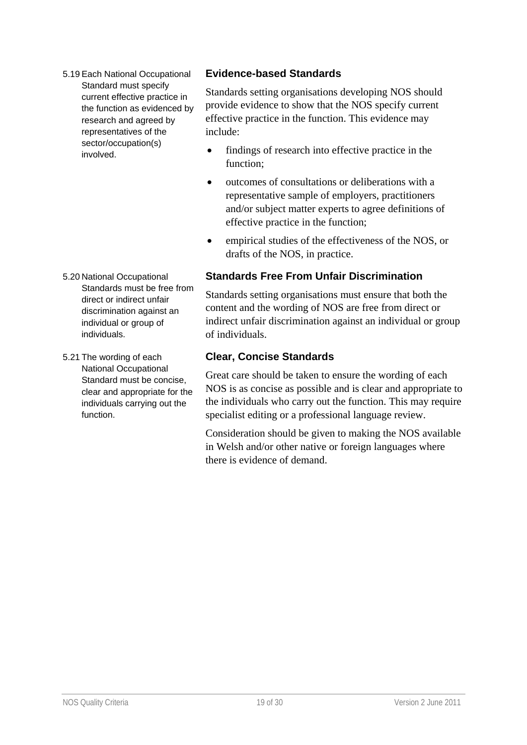5.19 Each National Occupational Standard must specify current effective practice in the function as evidenced by research and agreed by representatives of the sector/occupation(s) involved.

#### 5.20 National Occupational Standards must be free from direct or indirect unfair discrimination against an individual or group of individuals.

5.21 The wording of each National Occupational Standard must be concise, clear and appropriate for the individuals carrying out the function.

### **Evidence-based Standards**

Standards setting organisations developing NOS should provide evidence to show that the NOS specify current effective practice in the function. This evidence may include:

- findings of research into effective practice in the function;
- $\bullet$  outcomes of consultations or deliberations with a representative sample of employers, practitioners and/or subject matter experts to agree definitions of effective practice in the function;
- empirical studies of the effectiveness of the NOS, or drafts of the NOS, in practice.

### **Standards Free From Unfair Discrimination**

Standards setting organisations must ensure that both the content and the wording of NOS are free from direct or indirect unfair discrimination against an individual or group of individuals.

### **Clear, Concise Standards**

Great care should be taken to ensure the wording of each NOS is as concise as possible and is clear and appropriate to the individuals who carry out the function. This may require specialist editing or a professional language review.

Consideration should be given to making the NOS available in Welsh and/or other native or foreign languages where there is evidence of demand.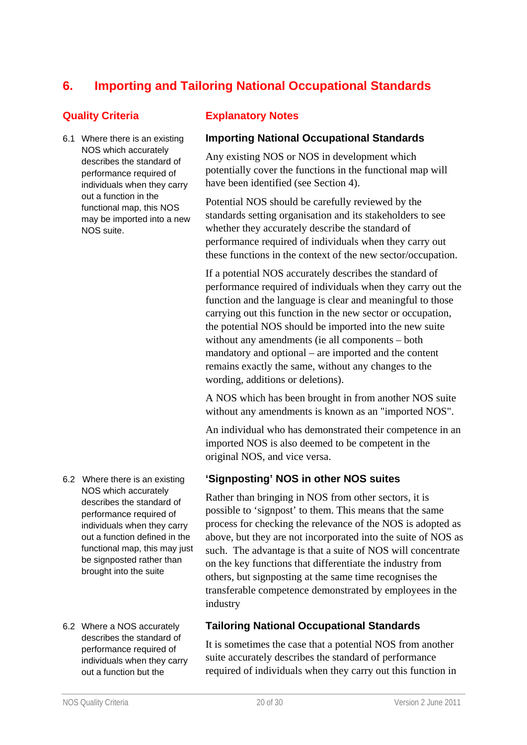# **6. Importing and Tailoring National Occupational Standards**

6.1 Where there is an existing NOS which accurately describes the standard of performance required of individuals when they carry out a function in the functional map, this NOS may be imported into a new NOS suite.

#### 6.2 Where there is an existing NOS which accurately describes the standard of performance required of individuals when they carry out a function defined in the functional map, this may just be signposted rather than brought into the suite

6.2 Where a NOS accurately describes the standard of performance required of individuals when they carry out a function but the

#### **Quality Criteria Explanatory Notes**

#### **Importing National Occupational Standards**

Any existing NOS or NOS in development which potentially cover the functions in the functional map will have been identified (see Section 4).

Potential NOS should be carefully reviewed by the standards setting organisation and its stakeholders to see whether they accurately describe the standard of performance required of individuals when they carry out these functions in the context of the new sector/occupation.

If a potential NOS accurately describes the standard of performance required of individuals when they carry out the function and the language is clear and meaningful to those carrying out this function in the new sector or occupation, the potential NOS should be imported into the new suite without any amendments (ie all components – both mandatory and optional – are imported and the content remains exactly the same, without any changes to the wording, additions or deletions).

A NOS which has been brought in from another NOS suite without any amendments is known as an "imported NOS".

An individual who has demonstrated their competence in an imported NOS is also deemed to be competent in the original NOS, and vice versa.

#### **'Signposting' NOS in other NOS suites**

Rather than bringing in NOS from other sectors, it is possible to 'signpost' to them. This means that the same process for checking the relevance of the NOS is adopted as above, but they are not incorporated into the suite of NOS as such. The advantage is that a suite of NOS will concentrate on the key functions that differentiate the industry from others, but signposting at the same time recognises the transferable competence demonstrated by employees in the industry

#### **Tailoring National Occupational Standards**

It is sometimes the case that a potential NOS from another suite accurately describes the standard of performance required of individuals when they carry out this function in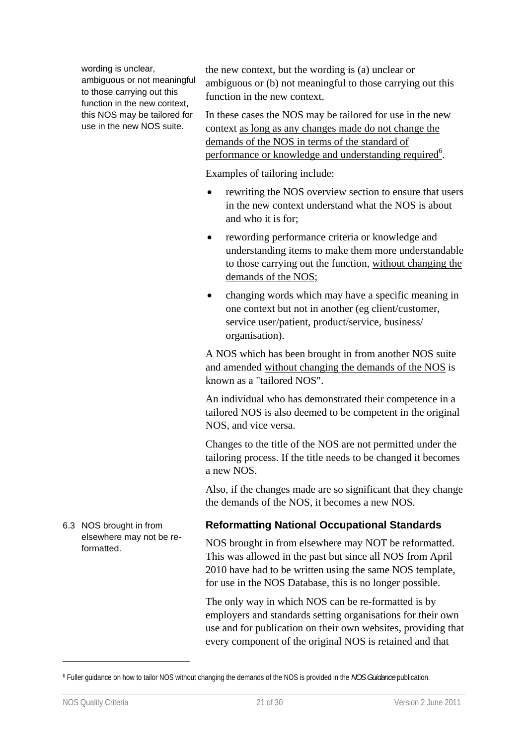wording is unclear, ambiguous or not meaningful to those carrying out this function in the new context. this NOS may be tailored for use in the new NOS suite.

the new context, but the wording is (a) unclear or ambiguous or (b) not meaningful to those carrying out this function in the new context.

In these cases the NOS may be tailored for use in the new context as long as any changes made do not change the demands of the NOS in terms of the standard of performance or knowledge and understanding required<sup>6</sup>.

Examples of tailoring include:

- rewriting the NOS overview section to ensure that users in the new context understand what the NOS is about and who it is for;
- rewording performance criteria or knowledge and understanding items to make them more understandable to those carrying out the function, without changing the demands of the NOS;
- changing words which may have a specific meaning in one context but not in another (eg client/customer, service user/patient, product/service, business/ organisation).

A NOS which has been brought in from another NOS suite and amended without changing the demands of the NOS is known as a "tailored NOS".

An individual who has demonstrated their competence in a tailored NOS is also deemed to be competent in the original NOS, and vice versa.

Changes to the title of the NOS are not permitted under the tailoring process. If the title needs to be changed it becomes a new NOS.

Also, if the changes made are so significant that they change the demands of the NOS, it becomes a new NOS.

#### **Reformatting National Occupational Standards**

NOS brought in from elsewhere may NOT be reformatted. This was allowed in the past but since all NOS from April 2010 have had to be written using the same NOS template, for use in the NOS Database, this is no longer possible.

The only way in which NOS can be re-formatted is by employers and standards setting organisations for their own use and for publication on their own websites, providing that every component of the original NOS is retained and that

-

6.3 NOS brought in from elsewhere may not be reformatted.

<sup>6</sup> Fuller guidance on how to tailor NOS without changing the demands of the NOS is provided in the *NOS Guidance* publication.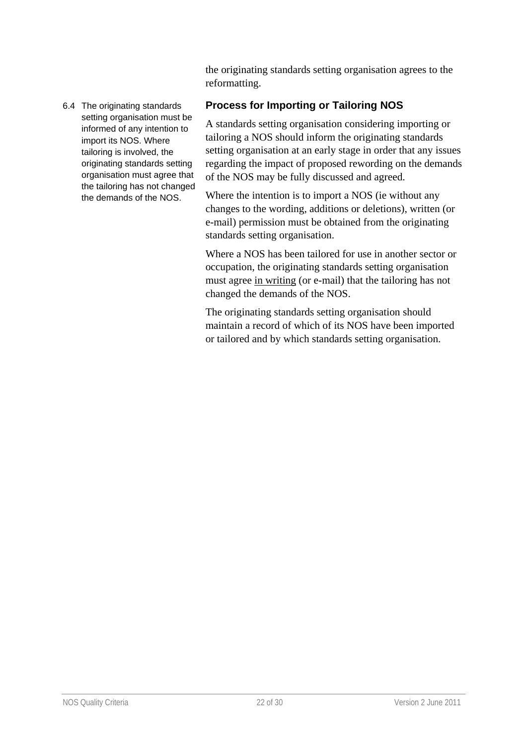the originating standards setting organisation agrees to the reformatting.

#### 6.4 The originating standards setting organisation must be informed of any intention to import its NOS. Where tailoring is involved, the originating standards setting organisation must agree that the tailoring has not changed the demands of the NOS.

### **Process for Importing or Tailoring NOS**

A standards setting organisation considering importing or tailoring a NOS should inform the originating standards setting organisation at an early stage in order that any issues regarding the impact of proposed rewording on the demands of the NOS may be fully discussed and agreed.

Where the intention is to import a NOS (ie without any changes to the wording, additions or deletions), written (or e-mail) permission must be obtained from the originating standards setting organisation.

Where a NOS has been tailored for use in another sector or occupation, the originating standards setting organisation must agree in writing (or e-mail) that the tailoring has not changed the demands of the NOS.

The originating standards setting organisation should maintain a record of which of its NOS have been imported or tailored and by which standards setting organisation.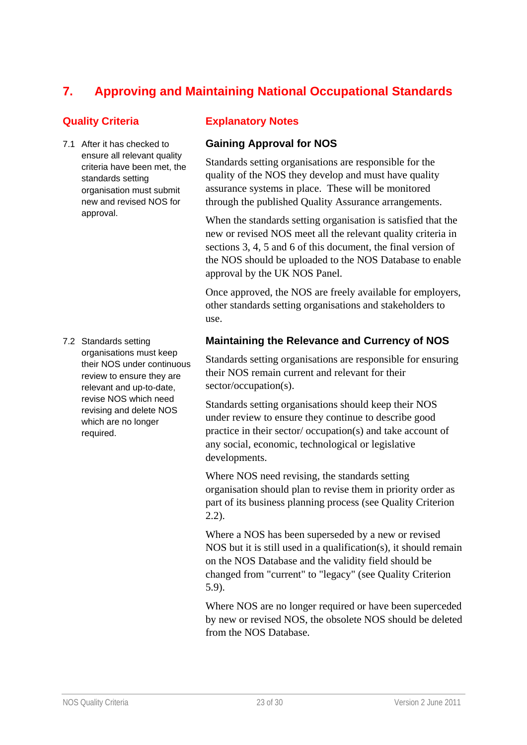# **7. Approving and Maintaining National Occupational Standards**

7.1 After it has checked to ensure all relevant quality criteria have been met, the standards setting organisation must submit new and revised NOS for approval.

7.2 Standards setting organisations must keep their NOS under continuous review to ensure they are relevant and up-to-date, revise NOS which need revising and delete NOS which are no longer required.

#### **Quality Criteria Explanatory Notes**

### **Gaining Approval for NOS**

Standards setting organisations are responsible for the quality of the NOS they develop and must have quality assurance systems in place. These will be monitored through the published Quality Assurance arrangements.

When the standards setting organisation is satisfied that the new or revised NOS meet all the relevant quality criteria in sections 3, 4, 5 and 6 of this document, the final version of the NOS should be uploaded to the NOS Database to enable approval by the UK NOS Panel.

Once approved, the NOS are freely available for employers, other standards setting organisations and stakeholders to use.

#### **Maintaining the Relevance and Currency of NOS**

Standards setting organisations are responsible for ensuring their NOS remain current and relevant for their sector/occupation(s).

Standards setting organisations should keep their NOS under review to ensure they continue to describe good practice in their sector/ occupation(s) and take account of any social, economic, technological or legislative developments.

Where NOS need revising, the standards setting organisation should plan to revise them in priority order as part of its business planning process (see Quality Criterion 2.2).

Where a NOS has been superseded by a new or revised NOS but it is still used in a qualification(s), it should remain on the NOS Database and the validity field should be changed from "current" to "legacy" (see Quality Criterion 5.9).

Where NOS are no longer required or have been superceded by new or revised NOS, the obsolete NOS should be deleted from the NOS Database.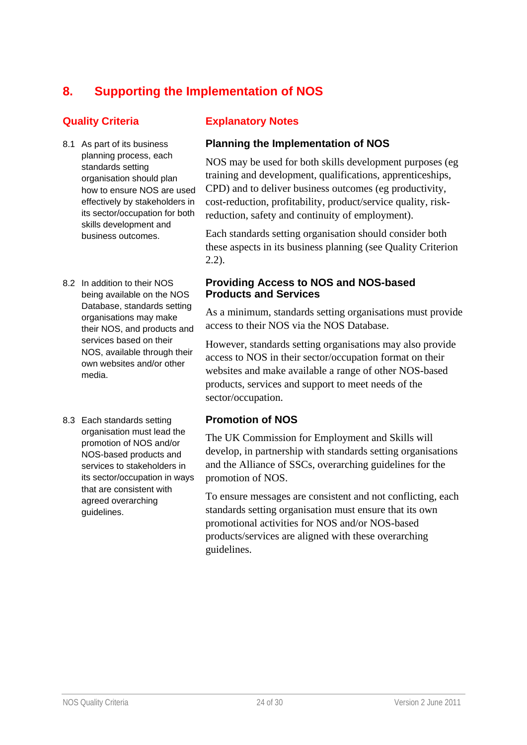# **8. Supporting the Implementation of NOS**

- 8.1 As part of its business planning process, each standards setting organisation should plan how to ensure NOS are used effectively by stakeholders in its sector/occupation for both skills development and business outcomes.
- 8.2 In addition to their NOS being available on the NOS Database, standards setting organisations may make their NOS, and products and services based on their NOS, available through their own websites and/or other media.
- 8.3 Each standards setting organisation must lead the promotion of NOS and/or NOS-based products and services to stakeholders in its sector/occupation in ways that are consistent with agreed overarching guidelines.

### **Quality Criteria Explanatory Notes**

### **Planning the Implementation of NOS**

NOS may be used for both skills development purposes (eg training and development, qualifications, apprenticeships, CPD) and to deliver business outcomes (eg productivity, cost-reduction, profitability, product/service quality, riskreduction, safety and continuity of employment).

Each standards setting organisation should consider both these aspects in its business planning (see Quality Criterion 2.2).

#### **Providing Access to NOS and NOS-based Products and Services**

As a minimum, standards setting organisations must provide access to their NOS via the NOS Database.

However, standards setting organisations may also provide access to NOS in their sector/occupation format on their websites and make available a range of other NOS-based products, services and support to meet needs of the sector/occupation.

#### **Promotion of NOS**

The UK Commission for Employment and Skills will develop, in partnership with standards setting organisations and the Alliance of SSCs, overarching guidelines for the promotion of NOS.

To ensure messages are consistent and not conflicting, each standards setting organisation must ensure that its own promotional activities for NOS and/or NOS-based products/services are aligned with these overarching guidelines.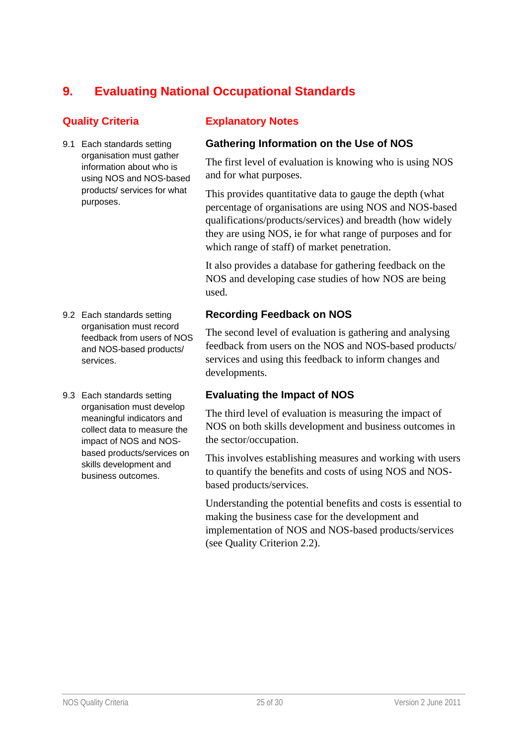# **9. Evaluating National Occupational Standards**

9.1 Each standards setting organisation must gather information about who is using NOS and NOS-based products/ services for what purposes.

- 9.2 Each standards setting organisation must record feedback from users of NOS and NOS-based products/ services.
- 9.3 Each standards setting organisation must develop meaningful indicators and collect data to measure the impact of NOS and NOSbased products/services on skills development and business outcomes.

### **Quality Criteria Explanatory Notes**

### **Gathering Information on the Use of NOS**

The first level of evaluation is knowing who is using NOS and for what purposes.

This provides quantitative data to gauge the depth (what percentage of organisations are using NOS and NOS-based qualifications/products/services) and breadth (how widely they are using NOS, ie for what range of purposes and for which range of staff) of market penetration.

It also provides a database for gathering feedback on the NOS and developing case studies of how NOS are being used.

### **Recording Feedback on NOS**

The second level of evaluation is gathering and analysing feedback from users on the NOS and NOS-based products/ services and using this feedback to inform changes and developments.

#### **Evaluating the Impact of NOS**

The third level of evaluation is measuring the impact of NOS on both skills development and business outcomes in the sector/occupation.

This involves establishing measures and working with users to quantify the benefits and costs of using NOS and NOSbased products/services.

Understanding the potential benefits and costs is essential to making the business case for the development and implementation of NOS and NOS-based products/services (see Quality Criterion 2.2).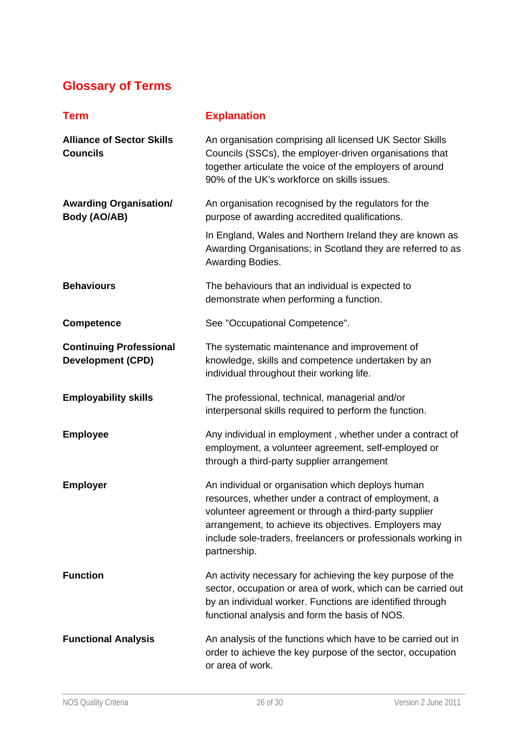# **Glossary of Terms**

| <b>Term</b>                                                | <b>Explanation</b>                                                                                                                                                                                                                                                                                           |
|------------------------------------------------------------|--------------------------------------------------------------------------------------------------------------------------------------------------------------------------------------------------------------------------------------------------------------------------------------------------------------|
| <b>Alliance of Sector Skills</b><br><b>Councils</b>        | An organisation comprising all licensed UK Sector Skills<br>Councils (SSCs), the employer-driven organisations that<br>together articulate the voice of the employers of around<br>90% of the UK's workforce on skills issues.                                                                               |
| <b>Awarding Organisation/</b><br>Body (AO/AB)              | An organisation recognised by the regulators for the<br>purpose of awarding accredited qualifications.                                                                                                                                                                                                       |
|                                                            | In England, Wales and Northern Ireland they are known as<br>Awarding Organisations; in Scotland they are referred to as<br>Awarding Bodies.                                                                                                                                                                  |
| <b>Behaviours</b>                                          | The behaviours that an individual is expected to<br>demonstrate when performing a function.                                                                                                                                                                                                                  |
| <b>Competence</b>                                          | See "Occupational Competence".                                                                                                                                                                                                                                                                               |
| <b>Continuing Professional</b><br><b>Development (CPD)</b> | The systematic maintenance and improvement of<br>knowledge, skills and competence undertaken by an<br>individual throughout their working life.                                                                                                                                                              |
| <b>Employability skills</b>                                | The professional, technical, managerial and/or<br>interpersonal skills required to perform the function.                                                                                                                                                                                                     |
| <b>Employee</b>                                            | Any individual in employment, whether under a contract of<br>employment, a volunteer agreement, self-employed or<br>through a third-party supplier arrangement                                                                                                                                               |
| <b>Employer</b>                                            | An individual or organisation which deploys human<br>resources, whether under a contract of employment, a<br>volunteer agreement or through a third-party supplier<br>arrangement, to achieve its objectives. Employers may<br>include sole-traders, freelancers or professionals working in<br>partnership. |
| <b>Function</b>                                            | An activity necessary for achieving the key purpose of the<br>sector, occupation or area of work, which can be carried out<br>by an individual worker. Functions are identified through<br>functional analysis and form the basis of NOS.                                                                    |
| <b>Functional Analysis</b>                                 | An analysis of the functions which have to be carried out in<br>order to achieve the key purpose of the sector, occupation<br>or area of work.                                                                                                                                                               |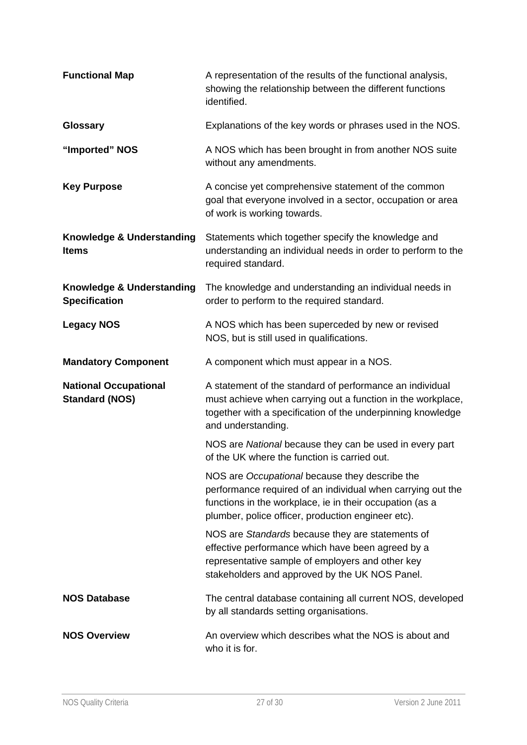| <b>Functional Map</b>                                 | A representation of the results of the functional analysis,<br>showing the relationship between the different functions<br>identified.                                                                                          |
|-------------------------------------------------------|---------------------------------------------------------------------------------------------------------------------------------------------------------------------------------------------------------------------------------|
| <b>Glossary</b>                                       | Explanations of the key words or phrases used in the NOS.                                                                                                                                                                       |
| "Imported" NOS                                        | A NOS which has been brought in from another NOS suite<br>without any amendments.                                                                                                                                               |
| <b>Key Purpose</b>                                    | A concise yet comprehensive statement of the common<br>goal that everyone involved in a sector, occupation or area<br>of work is working towards.                                                                               |
| Knowledge & Understanding<br><b>Items</b>             | Statements which together specify the knowledge and<br>understanding an individual needs in order to perform to the<br>required standard.                                                                                       |
| Knowledge & Understanding<br><b>Specification</b>     | The knowledge and understanding an individual needs in<br>order to perform to the required standard.                                                                                                                            |
| <b>Legacy NOS</b>                                     | A NOS which has been superceded by new or revised<br>NOS, but is still used in qualifications.                                                                                                                                  |
| <b>Mandatory Component</b>                            | A component which must appear in a NOS.                                                                                                                                                                                         |
| <b>National Occupational</b><br><b>Standard (NOS)</b> | A statement of the standard of performance an individual<br>must achieve when carrying out a function in the workplace,<br>together with a specification of the underpinning knowledge<br>and understanding.                    |
|                                                       | NOS are National because they can be used in every part<br>of the UK where the function is carried out.                                                                                                                         |
|                                                       | NOS are Occupational because they describe the<br>performance required of an individual when carrying out the<br>functions in the workplace, ie in their occupation (as a<br>plumber, police officer, production engineer etc). |
|                                                       | NOS are Standards because they are statements of<br>effective performance which have been agreed by a<br>representative sample of employers and other key<br>stakeholders and approved by the UK NOS Panel.                     |
| <b>NOS Database</b>                                   | The central database containing all current NOS, developed<br>by all standards setting organisations.                                                                                                                           |
| <b>NOS Overview</b>                                   | An overview which describes what the NOS is about and<br>who it is for.                                                                                                                                                         |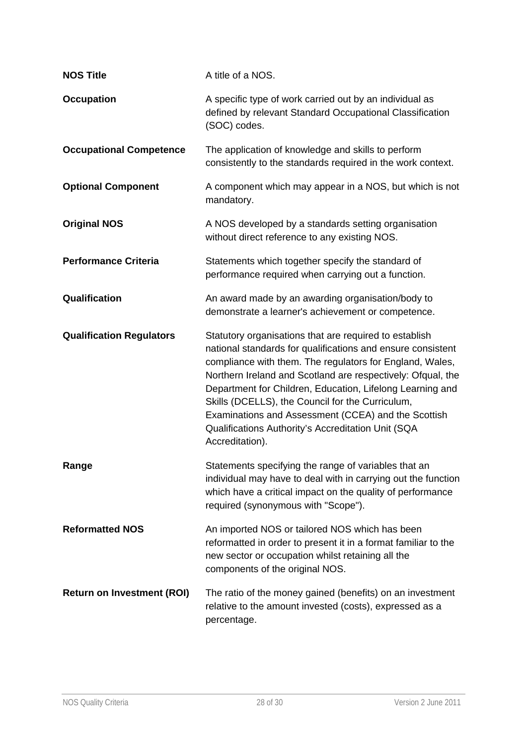| <b>NOS Title</b>                  | A title of a NOS.                                                                                                                                                                                                                                                                                                                                                                                                                                                                                 |
|-----------------------------------|---------------------------------------------------------------------------------------------------------------------------------------------------------------------------------------------------------------------------------------------------------------------------------------------------------------------------------------------------------------------------------------------------------------------------------------------------------------------------------------------------|
| <b>Occupation</b>                 | A specific type of work carried out by an individual as<br>defined by relevant Standard Occupational Classification<br>(SOC) codes.                                                                                                                                                                                                                                                                                                                                                               |
| <b>Occupational Competence</b>    | The application of knowledge and skills to perform<br>consistently to the standards required in the work context.                                                                                                                                                                                                                                                                                                                                                                                 |
| <b>Optional Component</b>         | A component which may appear in a NOS, but which is not<br>mandatory.                                                                                                                                                                                                                                                                                                                                                                                                                             |
| <b>Original NOS</b>               | A NOS developed by a standards setting organisation<br>without direct reference to any existing NOS.                                                                                                                                                                                                                                                                                                                                                                                              |
| <b>Performance Criteria</b>       | Statements which together specify the standard of<br>performance required when carrying out a function.                                                                                                                                                                                                                                                                                                                                                                                           |
| Qualification                     | An award made by an awarding organisation/body to<br>demonstrate a learner's achievement or competence.                                                                                                                                                                                                                                                                                                                                                                                           |
| <b>Qualification Regulators</b>   | Statutory organisations that are required to establish<br>national standards for qualifications and ensure consistent<br>compliance with them. The regulators for England, Wales,<br>Northern Ireland and Scotland are respectively: Ofqual, the<br>Department for Children, Education, Lifelong Learning and<br>Skills (DCELLS), the Council for the Curriculum,<br>Examinations and Assessment (CCEA) and the Scottish<br>Qualifications Authority's Accreditation Unit (SQA<br>Accreditation). |
| Range                             | Statements specifying the range of variables that an<br>individual may have to deal with in carrying out the function<br>which have a critical impact on the quality of performance<br>required (synonymous with "Scope").                                                                                                                                                                                                                                                                        |
| <b>Reformatted NOS</b>            | An imported NOS or tailored NOS which has been<br>reformatted in order to present it in a format familiar to the<br>new sector or occupation whilst retaining all the<br>components of the original NOS.                                                                                                                                                                                                                                                                                          |
| <b>Return on Investment (ROI)</b> | The ratio of the money gained (benefits) on an investment<br>relative to the amount invested (costs), expressed as a<br>percentage.                                                                                                                                                                                                                                                                                                                                                               |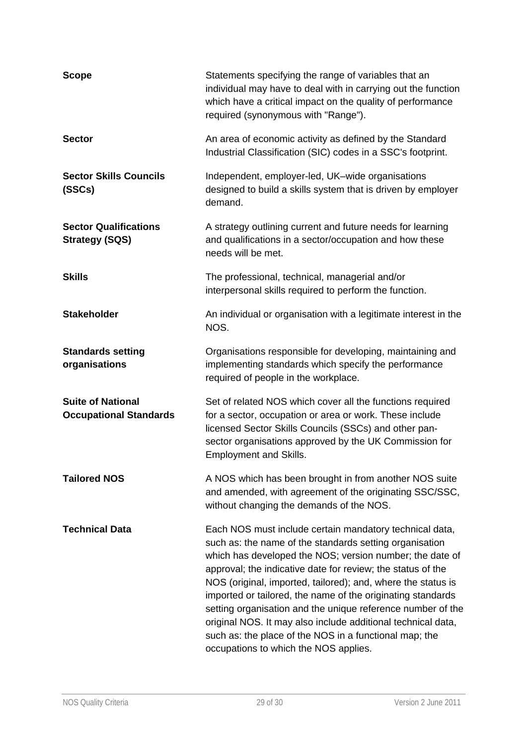| <b>Scope</b>                                              | Statements specifying the range of variables that an<br>individual may have to deal with in carrying out the function<br>which have a critical impact on the quality of performance<br>required (synonymous with "Range").                                                                                                                                                                                                                                                                                                                                                                                     |
|-----------------------------------------------------------|----------------------------------------------------------------------------------------------------------------------------------------------------------------------------------------------------------------------------------------------------------------------------------------------------------------------------------------------------------------------------------------------------------------------------------------------------------------------------------------------------------------------------------------------------------------------------------------------------------------|
| <b>Sector</b>                                             | An area of economic activity as defined by the Standard<br>Industrial Classification (SIC) codes in a SSC's footprint.                                                                                                                                                                                                                                                                                                                                                                                                                                                                                         |
| <b>Sector Skills Councils</b><br>(SSCs)                   | Independent, employer-led, UK-wide organisations<br>designed to build a skills system that is driven by employer<br>demand.                                                                                                                                                                                                                                                                                                                                                                                                                                                                                    |
| <b>Sector Qualifications</b><br><b>Strategy (SQS)</b>     | A strategy outlining current and future needs for learning<br>and qualifications in a sector/occupation and how these<br>needs will be met.                                                                                                                                                                                                                                                                                                                                                                                                                                                                    |
| <b>Skills</b>                                             | The professional, technical, managerial and/or<br>interpersonal skills required to perform the function.                                                                                                                                                                                                                                                                                                                                                                                                                                                                                                       |
| <b>Stakeholder</b>                                        | An individual or organisation with a legitimate interest in the<br>NOS.                                                                                                                                                                                                                                                                                                                                                                                                                                                                                                                                        |
| <b>Standards setting</b><br>organisations                 | Organisations responsible for developing, maintaining and<br>implementing standards which specify the performance<br>required of people in the workplace.                                                                                                                                                                                                                                                                                                                                                                                                                                                      |
| <b>Suite of National</b><br><b>Occupational Standards</b> | Set of related NOS which cover all the functions required<br>for a sector, occupation or area or work. These include<br>licensed Sector Skills Councils (SSCs) and other pan-<br>sector organisations approved by the UK Commission for<br><b>Employment and Skills.</b>                                                                                                                                                                                                                                                                                                                                       |
| <b>Tailored NOS</b>                                       | A NOS which has been brought in from another NOS suite<br>and amended, with agreement of the originating SSC/SSC,<br>without changing the demands of the NOS.                                                                                                                                                                                                                                                                                                                                                                                                                                                  |
| <b>Technical Data</b>                                     | Each NOS must include certain mandatory technical data,<br>such as: the name of the standards setting organisation<br>which has developed the NOS; version number; the date of<br>approval; the indicative date for review; the status of the<br>NOS (original, imported, tailored); and, where the status is<br>imported or tailored, the name of the originating standards<br>setting organisation and the unique reference number of the<br>original NOS. It may also include additional technical data,<br>such as: the place of the NOS in a functional map; the<br>occupations to which the NOS applies. |